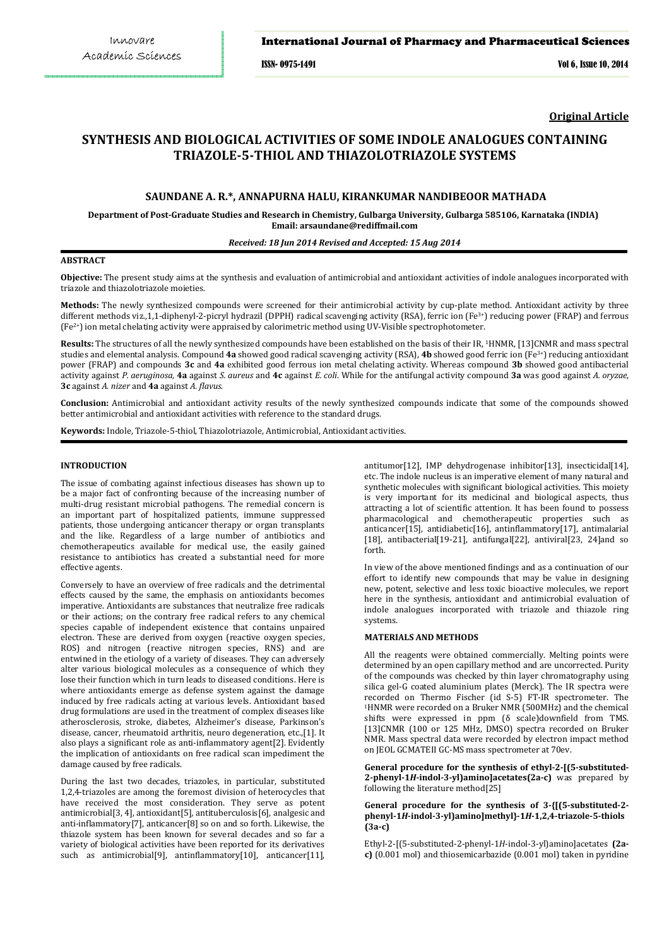### International Journal of Pharmacy and Pharmaceutical Sciences

ISSN- 0975-1491 Vol 6, Issue 10, 2014

**Original Article**

# **SYNTHESIS AND BIOLOGICAL ACTIVITIES OF SOME INDOLE ANALOGUES CONTAINING TRIAZOLE-5-THIOL AND THIAZOLOTRIAZOLE SYSTEMS**

# **SAUNDANE A. R.\*, ANNAPURNA HALU, KIRANKUMAR NANDIBEOOR MATHADA**

**Department of Post-Graduate Studies and Research in Chemistry, Gulbarga University, Gulbarga 585106, Karnataka (INDIA) Email: arsaundane@rediffmail.com**

### *Received: 18 Jun 2014 Revised and Accepted: 15 Aug 2014*

# **ABSTRACT**

**Objective:** The present study aims at the synthesis and evaluation of antimicrobial and antioxidant activities of indole analogues incorporated with triazole and thiazolotriazole moieties.

**Methods:** The newly synthesized compounds were screened for their antimicrobial activity by cup-plate method. Antioxidant activity by three different methods viz.,1,1-diphenyl-2-picryl hydrazil (DPPH) radical scavenging activity (RSA), ferric ion (Fe3+) reducing power (FRAP) and ferrous (Fe2+) ion metal chelating activity were appraised by calorimetric method using UV-Visible spectrophotometer.

**Results:** The structures of all the newly synthesized compounds have been established on the basis of their IR, 1HNMR, [13]CNMR and mass spectral studies and elemental analysis. Compound **4a** showed good radical scavenging activity (RSA), **4b** showed good ferric ion (Fe3+) reducing antioxidant power (FRAP) and compounds **3c** and **4a** exhibited good ferrous ion metal chelating activity. Whereas compound **3b** showed good antibacterial activity against *P. aeruginosa*, **4a** against *S. aureus* and **4c** against *E. coli*. While for the antifungal activity compound **3a** was good against *A. oryzae*, **3c** against *A. nizer* and **4a** against *A. flavus*.

**Conclusion:** Antimicrobial and antioxidant activity results of the newly synthesized compounds indicate that some of the compounds showed better antimicrobial and antioxidant activities with reference to the standard drugs.

**Keywords:** Indole, Triazole-5-thiol, Thiazolotriazole, Antimicrobial, Antioxidant activities.

### **INTRODUCTION**

The issue of combating against infectious diseases has shown up to be a major fact of confronting because of the increasing number of multi-drug resistant microbial pathogens. The remedial concern is an important part of hospitalized patients, immune suppressed patients, those undergoing anticancer therapy or organ transplants and the like. Regardless of a large number of antibiotics and chemotherapeutics available for medical use, the easily gained resistance to antibiotics has created a substantial need for more effective agents.

Conversely to have an overview of free radicals and the detrimental effects caused by the same, the emphasis on antioxidants becomes imperative. Antioxidants are substances that neutralize free radicals or their actions; on the contrary free radical refers to any chemical species capable of independent existence that contains unpaired electron. These are derived from oxygen (reactive oxygen species, ROS) and nitrogen (reactive nitrogen species, RNS) and are entwined in the etiology of a variety of diseases. They can adversely alter various biological molecules as a consequence of which they lose their function which in turn leads to diseased conditions. Here is where antioxidants emerge as defense system against the damage induced by free radicals acting at various levels. Antioxidant based drug formulations are used in the treatment of complex diseases like atherosclerosis, stroke, diabetes, Alzheimer's disease, Parkinson's disease, cancer, rheumatoid arthritis, neuro degeneration, etc.,[1]. It also plays a significant role as anti-inflammatory agent[2]. Evidently the implication of antioxidants on free radical scan impediment the damage caused by free radicals.

During the last two decades, triazoles, in particular, substituted 1,2,4-triazoles are among the foremost division of heterocycles that have received the most consideration. They serve as potent antimicrobial[3, 4], antioxidant[5]*,* antituberculosis[6], analgesic and anti-inflammatory[7], anticancer[8] so on and so forth. Likewise, the thiazole system has been known for several decades and so far a variety of biological activities have been reported for its derivatives such as antimicrobial<sup>[9]</sup>, antinflammatory<sup>[10]</sup>, anticancer<sup>[11]</sup>,

antitumor[12], IMP dehydrogenase inhibitor[13], insecticidal[14], etc. The indole nucleus is an imperative element of many natural and synthetic molecules with significant biological activities. This moiety is very important for its medicinal and biological aspects, thus attracting a lot of scientific attention. It has been found to possess pharmacological and chemotherapeutic properties such as anticancer[15], antidiabetic[16], antinflammatory[17], antimalarial [18], antibacterial[19-21], antifungal[22], antiviral[23, 24]and so forth.

In view of the above mentioned findings and as a continuation of our effort to identify new compounds that may be value in designing new, potent, selective and less toxic bioactive molecules, we report here in the synthesis, antioxidant and antimicrobial evaluation of indole analogues incorporated with triazole and thiazole ring systems.

#### **MATERIALS AND METHODS**

All the reagents were obtained commercially. Melting points were determined by an open capillary method and are uncorrected. Purity of the compounds was checked by thin layer chromatography using silica gel-G coated aluminium plates (Merck). The IR spectra were recorded on Thermo Fischer (id S-5) FT-IR spectrometer. The  $1$ HNMR were recorded on a Bruker NMR (500MHz) and the chemical shifts were expressed in ppm (δ scale)downfield from TMS. [13]CNMR (100 or 125 MHz, DMSO) spectra recorded on Bruker NMR. Mass spectral data were recorded by electron impact method on JEOL GCMATEII GC-MS mass spectrometer at 70ev.

**General procedure for the synthesis of ethyl-2-[(5-substituted-2-phenyl-1***H***-indol-3-yl)amino]acetates(2a-c)** was prepared by following the literature method[25]

### **General procedure for the synthesis of 3-{[(5-substituted-2 phenyl-1***H***-indol-3-yl)amino]methyl}-1***H***-1,2,4-triazole-5-thiols (3a-c)**

Ethyl-2-[(5-substituted-2-phenyl-1*H*-indol-3-yl)amino]acetates **(2ac)** (0.001 mol) and thiosemicarbazide (0.001 mol) taken in pyridine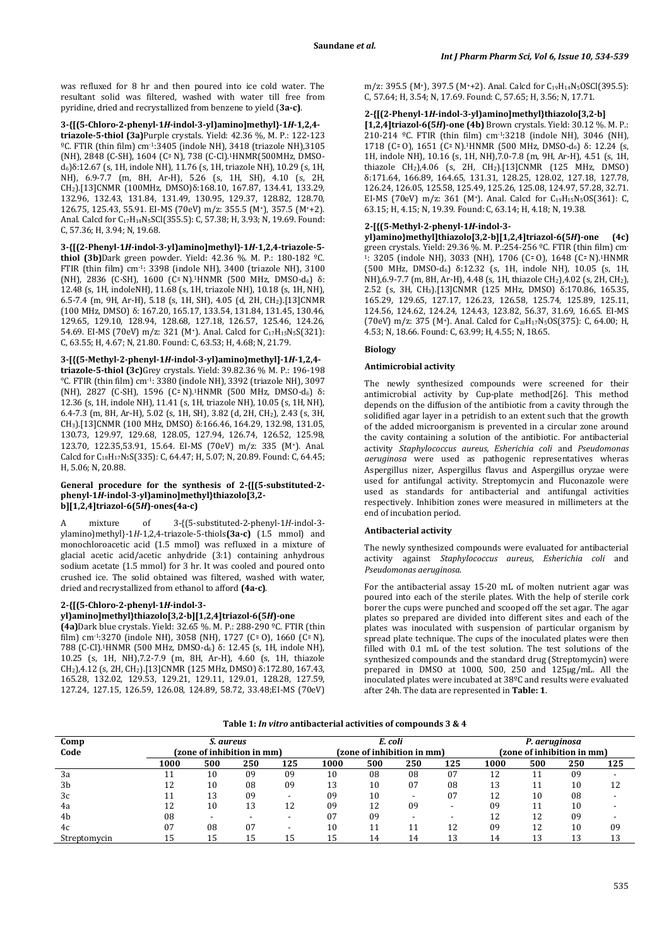was refluxed for 8 hr and then poured into ice cold water. The resultant solid was filtered, washed with water till free from pyridine, dried and recrystallized from benzene to yield (**3a-c)**.

**3-{[(5-Chloro-2-phenyl-1***H***-indol-3-yl)amino]methyl}-1***H***-1,2,4 triazole-5-thiol (3a)**Purple crystals. Yield: 42.36 %, M. P.: 122-123 ºC. FTIR (thin film) cm-1:3405 (indole NH), 3418 (triazole NH),3105 (NH), 2848 (C-SH), 1604 (C= N), 738 (C-Cl).<sup>1</sup>HNMR(500MHz, DMSOd6)δ:12.67 (s, 1H, indole NH), 11.76 (s, 1H, triazole NH), 10.29 (s, 1H, NH), 6.9-7.7 (m, 8H, Ar-H), 5.26 (s, 1H, SH), 4.10 (s, 2H, CH2).[13]CNMR (100MHz, DMSO)δ:168.10, 167.87, 134.41, 133.29, 132.96, 132.43, 131.84, 131.49, 130.95, 129.37, 128.82, 128.70, 126.75, 125.43, 55.91. EI-MS (70eV) m/z: 355.5 (M+), 357.5 (M++2). Anal. Calcd for C17H14N5SCl(355.5): C, 57.38; H, 3.93; N, 19.69. Found: C, 57.36; H, 3.94; N, 19.68.

**3-{[(2-Phenyl-1***H***-indol-3-yl)amino]methyl}-1***H***-1,2,4-triazole-5 thiol (3b)**Dark green powder. Yield: 42.36 %. M. P.: 180-182 ºC. FTIR (thin film) cm-1: 3398 (indole NH), 3400 (triazole NH), 3100 (NH), 2836 (C-SH), 1600 (C= N).<sup>1</sup>HNMR (500 MHz, DMSO-d<sub>6</sub>) δ: 12.48 (s, 1H, indoleNH), 11.68 (s, 1H, triazole NH), 10.18 (s, 1H, NH), 6.5-7.4 (m, 9H, Ar-H), 5.18 (s, 1H, SH), 4.05 (d, 2H, CH2).[13]CNMR (100 MHz, DMSO) δ: 167.20, 165.17, 133.54, 131.84, 131.45, 130.46, 129.65, 129.10, 128.94, 128.68, 127.18, 126.57, 125.46, 124.26, 54.69. EI-MS (70eV) m/z: 321 (M<sup>+</sup>). Anal. Calcd for  $C_{17}H_{15}N_5S(321)$ : C, 63.55; H, 4.67; N, 21.80. Found: C, 63.53; H, 4.68; N, 21.79.

# **3-[{(5-Methyl-2-phenyl-1***H***-indol-3-yl)amino}methyl]-1***H***-1,2,4-**

**triazole-5-thiol (3c)**Grey crystals. Yield: 39.82.36 % M. P.: 196-198 °C. FTIR (thin film) cm-1: 3380 (indole NH), 3392 (triazole NH), 3097 (NH), 2827 (C-SH), 1596 (C꞊ N).1HNMR (500 MHz, DMSO-d6) δ: 12.36 (s, 1H, indole NH), 11.41 (s, 1H, triazole NH), 10.05 (s, 1H, NH), 6.4-7.3 (m, 8H, Ar-H), 5.02 (s, 1H, SH), 3.82 (d, 2H, CH2), 2.43 (s, 3H, CH3).[13]CNMR (100 MHz, DMSO) δ:166.46, 164.29, 132.98, 131.05, 130.73, 129.97, 129.68, 128.05, 127.94, 126.74, 126.52, 125.98, 123.70, 122.35,53.91, 15.64. EI-MS (70eV) m/z: 335 (M+). Anal. Calcd for C18H17N5S(335): C, 64.47; H, 5.07; N, 20.89. Found: C, 64.45; H, 5.06; N, 20.88.

#### **General procedure for the synthesis of 2-{[(5-substituted-2 phenyl-1***H***-indol-3-yl)amino]methyl}thiazolo[3,2 b][1,2,4]triazol-6(5***H***)-ones(4a-c)**

mixture of 3-{(5-substituted-2-phenyl-1*H*-indol-3ylamino)methyl}-1*H*-1,2,4-triazole-5-thiols**(3a-c)** (1.5 mmol) and monochloroacetic acid (1.5 mmol) was refluxed in a mixture of glacial acetic acid/acetic anhydride (3:1) containing anhydrous sodium acetate (1.5 mmol) for 3 hr. It was cooled and poured onto crushed ice. The solid obtained was filtered, washed with water, dried and recrystallized from ethanol to afford **(4a-c)**.

# **2-{[(5-Chloro-2-phenyl-1***H***-indol-3-**

# **yl)amino]methyl}thiazolo[3,2-b][1,2,4]triazol-6(5***H***)-one**

**(4a)**Dark blue crystals. Yield: 32.65 %. M. P.: 288-290 ºC. FTIR (thin film) cm<sup>-1</sup>:3270 (indole NH), 3058 (NH), 1727 (C= 0), 1660 (C= N), 788 (C-Cl).1HNMR (500 MHz, DMSO-d6) δ: 12.45 (s, 1H, indole NH), 10.25 (s, 1H, NH),7.2-7.9 (m, 8H, Ar-H), 4.60 (s, 1H, thiazole CH2),4.12 (s, 2H, CH2).[13]CNMR (125 MHz, DMSO) δ:172.80, 167.43, 165.28, 132.02, 129.53, 129.21, 129.11, 129.01, 128.28, 127.59, 127.24, 127.15, 126.59, 126.08, 124.89, 58.72, 33.48;EI-MS (70eV) m/z: 395.5 (M<sup>+</sup>), 397.5 (M<sup>+</sup>+2). Anal. Calcd for C<sub>19</sub>H<sub>14</sub>N<sub>5</sub>OSCl(395.5): C, 57.64; H, 3.54; N, 17.69. Found: C, 57.65; H, 3.56; N, 17.71.

#### **2-{[(2-Phenyl-1***H***-indol-3-yl)amino]methyl}thiazolo[3,2-b]**

**[1,2,4]triazol-6(5***H***)-one (4b)** Brown crystals. Yield: 30.12 %. M. P.: 210-214 ºC. FTIR (thin film) cm-1:3218 (indole NH), 3046 (NH), 1718 (C= 0), 1651 (C= N).<sup>1</sup>HNMR (500 MHz, DMSO-d<sub>6</sub>) δ: 12.24 (s, 1H, indole NH), 10.16 (s, 1H, NH),7.0-7.8 (m, 9H, Ar-H), 4.51 (s, 1H, thiazole  $CH_2$ ), 4.06 (s, 2H,  $CH_2$ ).[13]CNMR (125 MHz, DMSO) δ:171.64, 166.89, 164.65, 131.31, 128.25, 128.02, 127.18, 127.78, 126.24, 126.05, 125.58, 125.49, 125.26, 125.08, 124.97, 57.28, 32.71. EI-MS (70eV) m/z: 361 (M<sup>+</sup>). Anal. Calcd for C<sub>19</sub>H<sub>15</sub>N<sub>5</sub>OS(361): C, 63.15; H, 4.15; N, 19.39. Found: C, 63.14; H, 4.18; N, 19.38.

### **2-[{(5-Methyl-2-phenyl-1***H***-indol-3-**

**yl)amino}methyl]thiazolo[3,2-b][1,2,4]triazol-6(5***H***)-one (4c)**  green crystals. Yield: 29.36 %. M. P.:254-256 ºC. FTIR (thin film) cm-1: 3205 (indole NH), 3033 (NH), 1706 (C= 0), 1648 (C= N).<sup>1</sup>HNMR (500 MHz, DMSO-d6) δ:12.32 (s, 1H, indole NH), 10.05 (s, 1H, NH),6.9-7.7 (m, 8H, Ar-H), 4.48 (s, 1H, thiazole CH2),4.02 (s, 2H, CH2), 2.52 (s, 3H, CH3).[13]CNMR (125 MHz, DMSO) δ:170.86, 165.35, 165.29, 129.65, 127.17, 126.23, 126.58, 125.74, 125.89, 125.11, 124.56, 124.62, 124.24, 124.43, 123.82, 56.37, 31.69, 16.65. EI-MS (70eV) m/z: 375 (M<sup>+</sup>). Anal. Calcd for C<sub>20</sub>H<sub>17</sub>N<sub>5</sub>OS(375): C, 64.00; H, 4.53; N, 18.66. Found: C, 63.99; H, 4.55; N, 18.65.

#### **Biology**

### **Antimicrobial activity**

The newly synthesized compounds were screened for their antimicrobial activity by Cup-plate method[26]. This method depends on the diffusion of the antibiotic from a cavity through the solidified agar layer in a petridish to an extent such that the growth of the added microorganism is prevented in a circular zone around the cavity containing a solution of the antibiotic. For antibacterial activity *Staphylococcus aureus, Esherichia coli* and *Pseudomonas aeruginosa* were used as pathogenic representatives wheras Aspergillus nizer, Aspergillus flavus and Aspergillus oryzae were used for antifungal activity. Streptomycin and Fluconazole were used as standards for antibacterial and antifungal activities respectively. Inhibition zones were measured in millimeters at the end of incubation period.

#### **Antibacterial activity**

The newly synthesized compounds were evaluated for antibacterial activity against *Staphylococcus aureus, Esherichia coli* and *Pseudomonas aeruginosa*.

For the antibacterial assay 15-20 mL of molten nutrient agar was poured into each of the sterile plates. With the help of sterile cork borer the cups were punched and scooped off the set agar. The agar plates so prepared are divided into different sites and each of the plates was inoculated with suspension of particular organism by spread plate technique. The cups of the inoculated plates were then filled with 0.1 mL of the test solution. The test solutions of the synthesized compounds and the standard drug (Streptomycin) were prepared in DMSO at 1000, 500, 250 and 125µg/mL. All the inoculated plates were incubated at 38ºC and results were evaluated after 24h. The data are represented in **Table: 1**.

# **Table 1:** *In vitro* **antibacterial activities of compounds 3 & 4**

| Comp           | S. aureus                                               |    |    |    | E. coli<br>(zone of inhibition in mm) |     |     |     | P. aeruginosa                                           |    |    |    |
|----------------|---------------------------------------------------------|----|----|----|---------------------------------------|-----|-----|-----|---------------------------------------------------------|----|----|----|
| Code           | (zone of inhibition in mm)<br>125<br>1000<br>500<br>250 |    |    |    | 1000                                  | 500 | 250 | 125 | (zone of inhibition in mm)<br>125<br>500<br>250<br>1000 |    |    |    |
|                |                                                         |    |    |    |                                       |     |     |     |                                                         |    |    |    |
| 3a             | 11                                                      | 10 | 09 | 09 | 10                                    | 08  | 08  | 07  | 12                                                      |    | 09 |    |
| 3 <sub>b</sub> | 12                                                      | 10 | 08 | 09 | 13                                    | 10  | 07  | 08  | 13                                                      | 11 | 10 | 12 |
| 3c             | 11                                                      | 13 | 09 |    | 09                                    | 10  |     | 07  | 12                                                      | 10 | 08 |    |
| 4a             | 12                                                      | 10 | 13 | 12 | 09                                    | 12  | 09  |     | 09                                                      |    | 10 |    |
| 4b             | 08                                                      |    |    |    | 07                                    | 09  |     |     | 12                                                      | 12 | 09 |    |
| 4c             | 07                                                      | 08 | 07 |    | 10                                    |     |     | 12  | 09                                                      | 12 | 10 | 09 |
| Streptomycin   | 15                                                      | 15 | 15 | 15 | 15                                    | 14  | 14  | 13  | 14                                                      | 13 | 13 | 13 |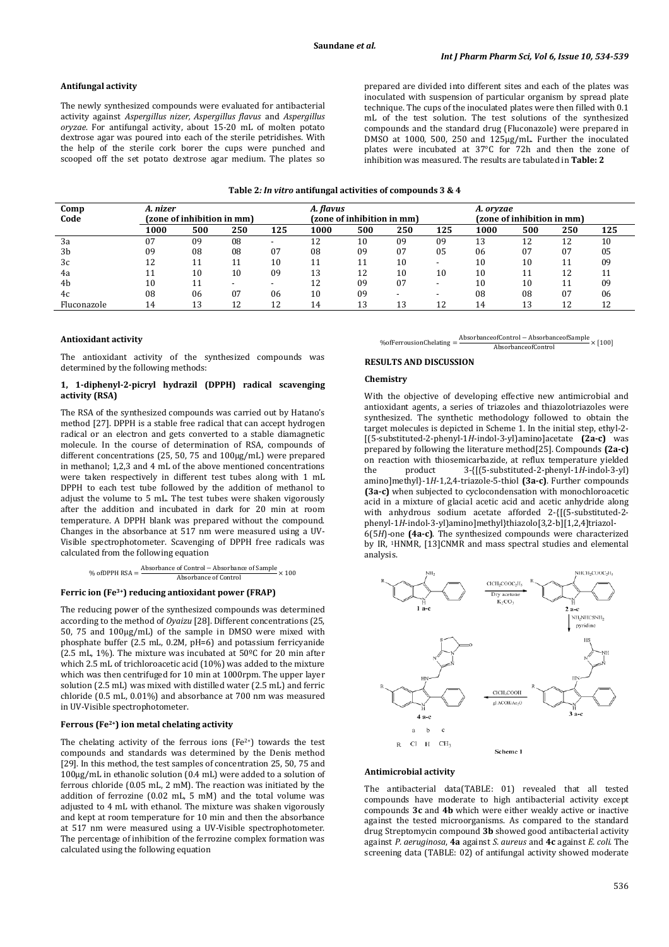### **Antifungal activity**

The newly synthesized compounds were evaluated for antibacterial activity against *Aspergillus nizer, Aspergillus flavus* and *Aspergillus oryzae*. For antifungal activity, about 15-20 mL of molten potato dextrose agar was poured into each of the sterile petridishes. With the help of the sterile cork borer the cups were punched and scooped off the set potato dextrose agar medium. The plates so prepared are divided into different sites and each of the plates was inoculated with suspension of particular organism by spread plate technique. The cups of the inoculated plates were then filled with 0.1 mL of the test solution. The test solutions of the synthesized compounds and the standard drug (Fluconazole) were prepared in DMSO at 1000, 500, 250 and 125µg/mL. Further the inoculated plates were incubated at 37°C for 72h and then the zone of inhibition was measured. The results are tabulated in **Table: 2** 

| Comp<br>Code   | A. nizer<br>(zone of inhibition in mm) |     |     |     | A. flavus | (zone of inhibition in mm) |     |     | A. oryzae<br>(zone of inhibition in mm) |     |     |     |
|----------------|----------------------------------------|-----|-----|-----|-----------|----------------------------|-----|-----|-----------------------------------------|-----|-----|-----|
|                | 1000                                   | 500 | 250 | 125 | 1000      | 500                        | 250 | 125 | 1000                                    | 500 | 250 | 125 |
| 3a             | 07                                     | 09  | 08  |     | 12        | 10                         | 09  | 09  | 13                                      |     | 12  | 10  |
| 3 <sub>b</sub> | 09                                     | 08  | 08  | 07  | 08        | 09                         | 07  | 05  | 06                                      | 07  | 07  | 05  |
| 3c             | 12                                     | 11  |     | 10  |           |                            | 10  |     | 10                                      | 10  |     | 09  |
| 4a             |                                        | 10  | 10  | 09  | 13        | 12                         | 10  | 10  | 10                                      |     | 12  |     |
| 4 <sub>b</sub> | 10                                     |     | -   |     | 12        | 09                         | 07  |     | 10                                      | 10  | 11  | 09  |
| 4c             | 08                                     | 06  | 07  | 06  | 10        | 09                         |     |     | 08                                      | 08  | 07  | 06  |
| Fluconazole    | 14                                     | 13  | 12  | 12  | 14        | 13                         | 13  | 12  | 14                                      |     | 12  | 12  |

#### **Antioxidant activity**

The antioxidant activity of the synthesized compounds was determined by the following methods:

### **1, 1-diphenyl-2-picryl hydrazil (DPPH) radical scavenging activity (RSA)**

The RSA of the synthesized compounds was carried out by Hatano's method [27]. DPPH is a stable free radical that can accept hydrogen radical or an electron and gets converted to a stable diamagnetic molecule. In the course of determination of RSA, compounds of different concentrations (25, 50, 75 and 100µg/mL) were prepared in methanol; 1,2,3 and 4 mL of the above mentioned concentrations were taken respectively in different test tubes along with 1 mL DPPH to each test tube followed by the addition of methanol to adjust the volume to 5 mL. The test tubes were shaken vigorously after the addition and incubated in dark for 20 min at room temperature. A DPPH blank was prepared without the compound. Changes in the absorbance at 517 nm were measured using a UV-Visible spectrophotometer. Scavenging of DPPH free radicals was calculated from the following equation

% ofDPPH RSA = 
$$
\frac{\text{Absorbane of Control} - \text{Absorbane of Sample}}{\text{Absorbane of Control}} \times 100
$$

#### **Ferric ion (Fe3+) reducing antioxidant power (FRAP)**

The reducing power of the synthesized compounds was determined according to the method of *Oyaizu* [28]. Different concentrations (25, 50, 75 and 100µg/mL) of the sample in DMSO were mixed with phosphate buffer (2.5 mL, 0.2M, pH=6) and potassium ferricyanide (2.5 mL, 1%). The mixture was incubated at 50ºC for 20 min after which 2.5 mL of trichloroacetic acid (10%) was added to the mixture which was then centrifuged for 10 min at 1000rpm. The upper layer solution (2.5 mL) was mixed with distilled water (2.5 mL) and ferric chloride (0.5 mL, 0.01%) and absorbance at 700 nm was measured in UV-Visible spectrophotometer.

#### **Ferrous (Fe2+) ion metal chelating activity**

The chelating activity of the ferrous ions  $(Fe^{2+})$  towards the test compounds and standards was determined by the Denis method [29]. In this method, the test samples of concentration 25, 50, 75 and 100µg/mL in ethanolic solution (0.4 mL) were added to a solution of ferrous chloride (0.05 mL, 2 mM). The reaction was initiated by the addition of ferrozine (0.02 mL, 5 mM) and the total volume was adjusted to 4 mL with ethanol. The mixture was shaken vigorously and kept at room temperature for 10 min and then the absorbance at 517 nm were measured using a UV-Visible spectrophotometer. The percentage of inhibition of the ferrozine complex formation was calculated using the following equation

 $%$ ofFerrousionChelating = AbsorbanceofControl − AbsorbanceofSample AbsorbanceofControl × [100]

#### **RESULTS AND DISCUSSION**

### **Chemistry**

With the objective of developing effective new antimicrobial and antioxidant agents, a series of triazoles and thiazolotriazoles were synthesized. The synthetic methodology followed to obtain the target molecules is depicted in Scheme 1. In the initial step, ethyl-2- [(5-substituted-2-phenyl-1*H*-indol-3-yl)amino]acetate **(2a-c)** was prepared by following the literature method[25]. Compounds **(2a-c)**  on reaction with thiosemicarbazide, at reflux temperature yielded the product 3-{[(5-substituted-2-phenyl-1*H*-indol-3-yl) amino]methyl}-1*H*-1,2,4-triazole-5-thiol **(3a-c)**. Further compounds **(3a-c)** when subjected to cyclocondensation with monochloroacetic acid in a mixture of glacial acetic acid and acetic anhydride along with anhydrous sodium acetate afforded 2-{[(5-substituted-2phenyl-1*H*-indol-3-yl)amino]methyl}thiazolo[3,2-b][1,2,4]triazol-6(5*H*)-one **(4a-c)**. The synthesized compounds were characterized by IR, 1HNMR, [13]CNMR and mass spectral studies and elemental analysis.



#### **Antimicrobial activity**

The antibacterial data(TABLE: 01) revealed that all tested compounds have moderate to high antibacterial activity except compounds **3c** and **4b** which were either weakly active or inactive against the tested microorganisms. As compared to the standard drug Streptomycin compound **3b** showed good antibacterial activity against *P. aeruginosa*, **4a** against *S. aureus* and **4c** against *E. coli*. The screening data (TABLE: 02) of antifungal activity showed moderate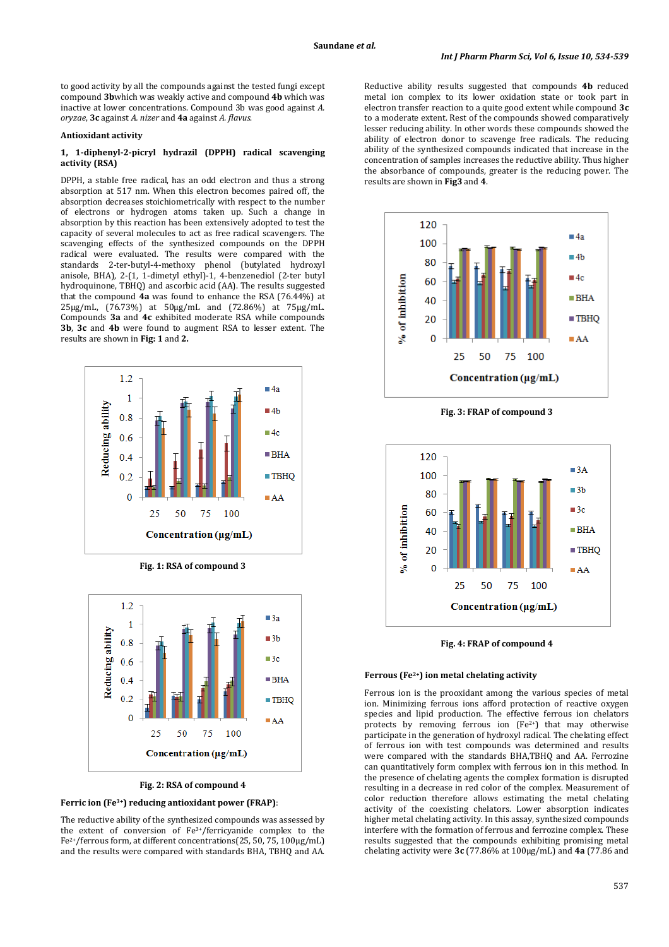to good activity by all the compounds against the tested fungi except compound **3b**which was weakly active and compound **4b** which was inactive at lower concentrations. Compound 3b was good against *A. oryzae*, **3c** against *A. nizer* and **4a** against *A. flavus*.

#### **Antioxidant activity**

### **1, 1-diphenyl-2-picryl hydrazil (DPPH) radical scavenging activity (RSA)**

DPPH, a stable free radical, has an odd electron and thus a strong absorption at 517 nm. When this electron becomes paired off, the absorption decreases stoichiometrically with respect to the number of electrons or hydrogen atoms taken up. Such a change in absorption by this reaction has been extensively adopted to test the capacity of several molecules to act as free radical scavengers. The scavenging effects of the synthesized compounds on the DPPH radical were evaluated. The results were compared with the standards 2-ter-butyl-4-methoxy phenol (butylated hydroxyl anisole, BHA), 2-(1, 1-dimetyl ethyl)-1, 4-benzenediol (2-ter butyl hydroquinone, TBHQ) and ascorbic acid (AA). The results suggested that the compound **4a** was found to enhance the RSA (76.44%) at 25µg/mL, (76.73%) at 50µg/mL and (72.86%) at 75µg/mL. Compounds **3a** and **4c** exhibited moderate RSA while compounds **3b**, **3c** and **4b** were found to augment RSA to lesser extent. The results are shown in **Fig: 1** and **2.** 



**Fig. 1: RSA of compound 3** 



#### **Fig. 2: RSA of compound 4**

### **Ferric ion (Fe3+) reducing antioxidant power (FRAP)**:

The reductive ability of the synthesized compounds was assessed by the extent of conversion of Fe3+/ferricyanide complex to the Fe2+/ferrous form, at different concentrations(25, 50, 75, 100µg/mL) and the results were compared with standards BHA, TBHQ and AA.

Reductive ability results suggested that compounds **4b** reduced metal ion complex to its lower oxidation state or took part in electron transfer reaction to a quite good extent while compound **3c**  to a moderate extent. Rest of the compounds showed comparatively lesser reducing ability. In other words these compounds showed the ability of electron donor to scavenge free radicals. The reducing ability of the synthesized compounds indicated that increase in the concentration of samples increases the reductive ability. Thus higher the absorbance of compounds, greater is the reducing power. The results are shown in **Fig3** and **4**.



**Fig. 3: FRAP of compound 3** 



**Fig. 4: FRAP of compound 4** 

#### **Ferrous (Fe2+) ion metal chelating activity**

Ferrous ion is the prooxidant among the various species of metal ion. Minimizing ferrous ions afford protection of reactive oxygen species and lipid production. The effective ferrous ion chelators protects by removing ferrous ion  $[Fe^{2+}]$  that may otherwise participate in the generation of hydroxyl radical. The chelating effect of ferrous ion with test compounds was determined and results were compared with the standards BHA,TBHQ and AA. Ferrozine can quantitatively form complex with ferrous ion in this method. In the presence of chelating agents the complex formation is disrupted resulting in a decrease in red color of the complex. Measurement of color reduction therefore allows estimating the metal chelating activity of the coexisting chelators. Lower absorption indicates higher metal chelating activity. In this assay, synthesized compounds interfere with the formation of ferrous and ferrozine complex. These results suggested that the compounds exhibiting promising metal chelating activity were **3c** (77.86% at 100µg/mL) and **4a** (77.86 and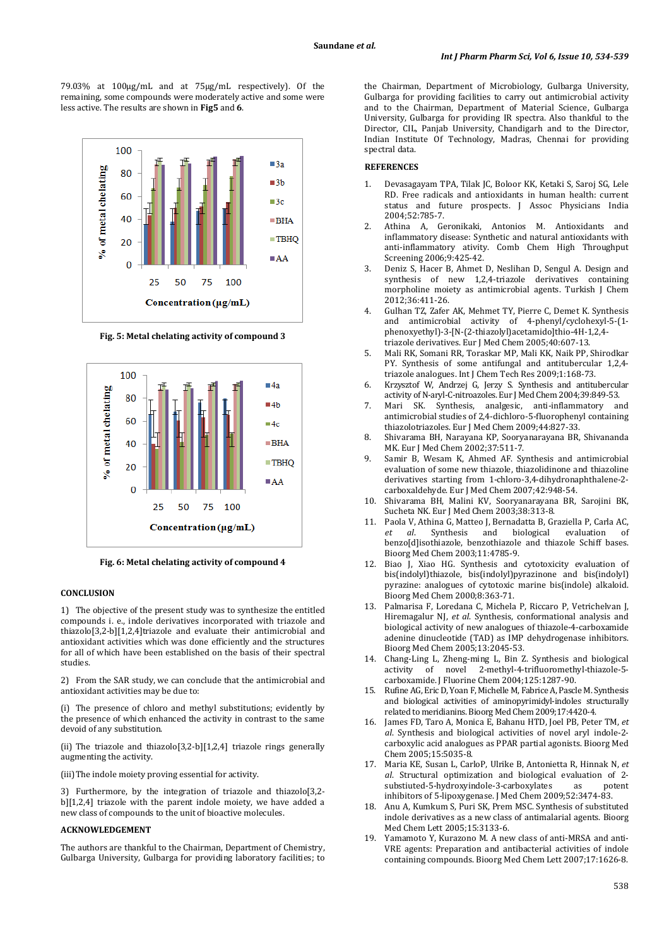79.03% at 100µg/mL and at 75µg/mL respectively). Of the remaining, some compounds were moderately active and some were less active. The results are shown in **Fig5** and **6**.



**Fig. 5: Metal chelating activity of compound 3** 



**Fig. 6: Metal chelating activity of compound 4** 

#### **CONCLUSION**

1) The objective of the present study was to synthesize the entitled compounds i. e., indole derivatives incorporated with triazole and thiazolo[3,2-b][1,2,4]triazole and evaluate their antimicrobial and antioxidant activities which was done efficiently and the structures for all of which have been established on the basis of their spectral studies.

2) From the SAR study, we can conclude that the antimicrobial and antioxidant activities may be due to:

(i) The presence of chloro and methyl substitutions; evidently by the presence of which enhanced the activity in contrast to the same devoid of any substitution.

(ii) The triazole and thiazolo[3,2-b][1,2,4] triazole rings generally augmenting the activity.

(iii)The indole moiety proving essential for activity.

3) Furthermore, by the integration of triazole and thiazolo[3,2 b][1,2,4] triazole with the parent indole moiety, we have added a new class of compounds to the unit of bioactive molecules.

# **ACKNOWLEDGEMENT**

The authors are thankful to the Chairman, Department of Chemistry, Gulbarga University, Gulbarga for providing laboratory facilities; to

the Chairman, Department of Microbiology, Gulbarga University, Gulbarga for providing facilities to carry out antimicrobial activity and to the Chairman, Department of Material Science, Gulbarga University, Gulbarga for providing IR spectra. Also thankful to the Director, CIL, Panjab University, Chandigarh and to the Director, Indian Institute Of Technology, Madras, Chennai for providing spectral data.

### **REFERENCES**

- 1. Devasagayam TPA, Tilak JC, Boloor KK, Ketaki S, Saroj SG, Lele RD. Free radicals and antioxidants in human health: current status and future prospects. J Assoc Physicians India 2004;52:785-7.
- 2. Athina A, Geronikaki, Antonios M. Antioxidants and inflammatory disease: Synthetic and natural antioxidants with anti-inflammatory ativity. Comb Chem High Throughput Screening 2006;9:425-42.
- 3. Deniz S, Hacer B, Ahmet D, Neslihan D, Sengul A. Design and synthesis of new 1,2,4-triazole derivatives containing morpholine moiety as antimicrobial agents. Turkish J Chem 2012;36:411-26.
- 4. Gulhan TZ, Zafer AK, Mehmet TY, Pierre C, Demet K. Synthesis and antimicrobial activity of 4-phenyl/cyclohexyl-5-(1 phenoxyethyl)-3-[N-(2-thiazolyl)acetamido]thio-4H-1,2,4 triazole derivatives. Eur J Med Chem 2005;40:607-13.
- 5. Mali RK, Somani RR, Toraskar MP, Mali KK, Naik PP, Shirodkar PY. Synthesis of some antifungal and antitubercular 1,2,4 triazole analogues. Int J Chem Tech Res 2009;1:168-73.
- 6. Krzysztof W, Andrzej G, Jerzy S. Synthesis and antitubercular activity of N-aryl-C-nitroazoles. Eur J Med Chem 2004;39:849-53.
- 7. Mari SK. Synthesis, analgesic, anti-inflammatory and antimicrobial studies of 2,4-dichloro-5-fluorophenyl containing thiazolotriazoles. Eur J Med Chem 2009;44:827-33.
- 8. Shivarama BH, Narayana KP, Sooryanarayana BR, Shivananda MK. Eur J Med Chem 2002;37:511-7.
- 9. Samir B, Wesam K, Ahmed AF. Synthesis and antimicrobial evaluation of some new thiazole, thiazolidinone and thiazoline derivatives starting from 1-chloro-3,4-dihydronaphthalene-2 carboxaldehyde. Eur J Med Chem 2007;42:948-54.
- 10. Shivarama BH, Malini KV, Sooryanarayana BR, Sarojini BK, Sucheta NK. Eur J Med Chem 2003;38:313-8.
- 11. Paola V, Athina G, Matteo J, Bernadatta B, Graziella P, Carla AC, *et al*. Synthesis and biological evaluation of benzo[d]isothiazole, benzothiazole and thiazole Schiff bases. Bioorg Med Chem 2003;11:4785-9.
- 12. Biao J, Xiao HG. Synthesis and cytotoxicity evaluation of bis(indolyl)thiazole, bis(indolyl)pyrazinone and bis(indolyl) pyrazine: analogues of cytotoxic marine bis(indole) alkaloid. Bioorg Med Chem 2000;8:363-71.
- 13. Palmarisa F, Loredana C, Michela P, Riccaro P, Vetrichelvan J, Hiremagalur NJ, *et al*. Synthesis, conformational analysis and biological activity of new analogues of thiazole-4-carboxamide adenine dinucleotide (TAD) as IMP dehydrogenase inhibitors. Bioorg Med Chem 2005;13:2045-53.
- 14. Chang-Ling L, Zheng-ming L, Bin Z. Synthesis and biological activity of novel 2-methyl-4-trifluoromethyl-thiazole-5 carboxamide. J Fluorine Chem 2004;125:1287-90.
- Rufine AG, Eric D, Yoan F, Michelle M, Fabrice A, Pascle M. Synthesis and biological activities of aminopyrimidyl-indoles structurally related to meridianins. Bioorg Med Chem 2009;17:4420-4.
- 16. James FD, Taro A, Monica E, Bahanu HTD, Joel PB, Peter TM, *et al*. Synthesis and biological activities of novel aryl indole-2 carboxylic acid analogues as PPAR partial agonists. Bioorg Med Chem 2005;15:5035-8.
- 17. Maria KE, Susan L, CarloP, Ulrike B, Antonietta R, Hinnak N, *et al*. Structural optimization and biological evaluation of 2 substiuted-5-hydroxyindole-3-carboxylates as potent inhibitors of 5-lipoxygenase. J Med Chem 2009;52:3474-83.
- 18. Anu A, Kumkum S, Puri SK, Prem MSC. Synthesis of substituted indole derivatives as a new class of antimalarial agents. Bioorg Med Chem Lett 2005;15:3133-6.
- 19. Yamamoto Y, Kurazono M. A new class of anti-MRSA and anti-VRE agents: Preparation and antibacterial activities of indole containing compounds. Bioorg Med Chem Lett 2007;17:1626-8.